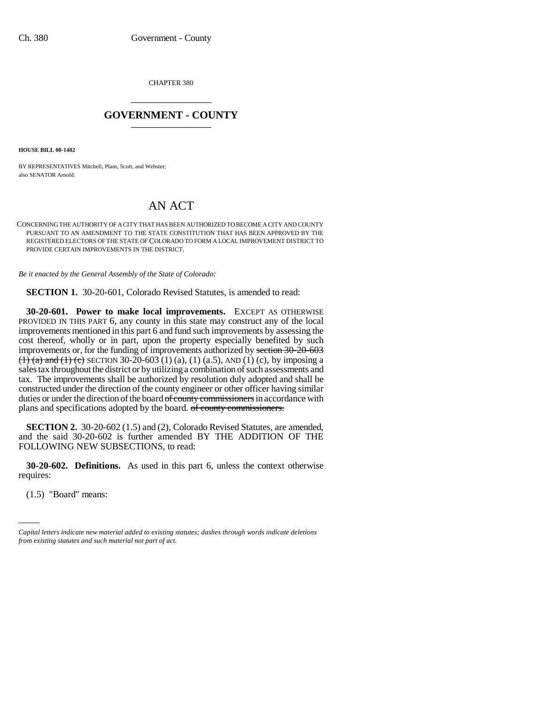CHAPTER 380 \_\_\_\_\_\_\_\_\_\_\_\_\_\_\_

## **GOVERNMENT - COUNTY** \_\_\_\_\_\_\_\_\_\_\_\_\_\_\_

**HOUSE BILL 00-1482** 

BY REPRESENTATIVES Mitchell, Plant, Scott, and Webster; also SENATOR Arnold.

## AN ACT

CONCERNING THE AUTHORITY OF A CITY THAT HAS BEEN AUTHORIZED TO BECOME A CITY AND COUNTY PURSUANT TO AN AMENDMENT TO THE STATE CONSTITUTION THAT HAS BEEN APPROVED BY THE REGISTERED ELECTORS OF THE STATE OF COLORADO TO FORM A LOCAL IMPROVEMENT DISTRICT TO PROVIDE CERTAIN IMPROVEMENTS IN THE DISTRICT.

*Be it enacted by the General Assembly of the State of Colorado:*

**SECTION 1.** 30-20-601, Colorado Revised Statutes, is amended to read:

**30-20-601. Power to make local improvements.** EXCEPT AS OTHERWISE PROVIDED IN THIS PART 6, any county in this state may construct any of the local improvements mentioned in this part 6 and fund such improvements by assessing the cost thereof, wholly or in part, upon the property especially benefited by such improvements or, for the funding of improvements authorized by section 30-20-603  $(1)$  (a) and (1) (c) SECTION 30-20-603 (1) (a), (1) (a.5), AND (1) (c), by imposing a sales tax throughout the district or by utilizing a combination of such assessments and tax. The improvements shall be authorized by resolution duly adopted and shall be constructed under the direction of the county engineer or other officer having similar duties or under the direction of the board of county commissioners in accordance with plans and specifications adopted by the board. of county commissioners.

**SECTION 2.** 30-20-602 (1.5) and (2), Colorado Revised Statutes, are amended, and the said 30-20-602 is further amended BY THE ADDITION OF THE FOLLOWING NEW SUBSECTIONS, to read:

requires: **30-20-602. Definitions.** As used in this part 6, unless the context otherwise

(1.5) "Board" means:

*Capital letters indicate new material added to existing statutes; dashes through words indicate deletions from existing statutes and such material not part of act.*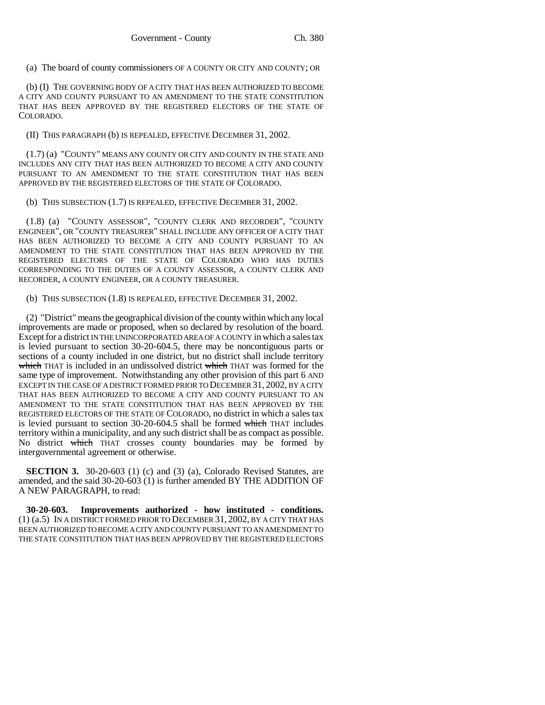(a) The board of county commissioners OF A COUNTY OR CITY AND COUNTY; OR

(b) (I) THE GOVERNING BODY OF A CITY THAT HAS BEEN AUTHORIZED TO BECOME A CITY AND COUNTY PURSUANT TO AN AMENDMENT TO THE STATE CONSTITUTION THAT HAS BEEN APPROVED BY THE REGISTERED ELECTORS OF THE STATE OF COLORADO.

(II) THIS PARAGRAPH (b) IS REPEALED, EFFECTIVE DECEMBER 31, 2002.

(1.7) (a) "COUNTY" MEANS ANY COUNTY OR CITY AND COUNTY IN THE STATE AND INCLUDES ANY CITY THAT HAS BEEN AUTHORIZED TO BECOME A CITY AND COUNTY PURSUANT TO AN AMENDMENT TO THE STATE CONSTITUTION THAT HAS BEEN APPROVED BY THE REGISTERED ELECTORS OF THE STATE OF COLORADO.

(b) THIS SUBSECTION (1.7) IS REPEALED, EFFECTIVE DECEMBER 31, 2002.

(1.8) (a) "COUNTY ASSESSOR", "COUNTY CLERK AND RECORDER", "COUNTY ENGINEER", OR "COUNTY TREASURER" SHALL INCLUDE ANY OFFICER OF A CITY THAT HAS BEEN AUTHORIZED TO BECOME A CITY AND COUNTY PURSUANT TO AN AMENDMENT TO THE STATE CONSTITUTION THAT HAS BEEN APPROVED BY THE REGISTERED ELECTORS OF THE STATE OF COLORADO WHO HAS DUTIES CORRESPONDING TO THE DUTIES OF A COUNTY ASSESSOR, A COUNTY CLERK AND RECORDER, A COUNTY ENGINEER, OR A COUNTY TREASURER.

(b) THIS SUBSECTION (1.8) IS REPEALED, EFFECTIVE DECEMBER 31, 2002.

(2) "District" means the geographical division of the county within which any local improvements are made or proposed, when so declared by resolution of the board. Except for a district IN THE UNINCORPORATED AREA OF A COUNTY in which a sales tax is levied pursuant to section 30-20-604.5, there may be noncontiguous parts or sections of a county included in one district, but no district shall include territory which THAT is included in an undissolved district which THAT was formed for the same type of improvement. Notwithstanding any other provision of this part 6 AND EXCEPT IN THE CASE OF A DISTRICT FORMED PRIOR TO DECEMBER 31, 2002, BY A CITY THAT HAS BEEN AUTHORIZED TO BECOME A CITY AND COUNTY PURSUANT TO AN AMENDMENT TO THE STATE CONSTITUTION THAT HAS BEEN APPROVED BY THE REGISTERED ELECTORS OF THE STATE OF COLORADO, no district in which a sales tax is levied pursuant to section 30-20-604.5 shall be formed which THAT includes territory within a municipality, and any such district shall be as compact as possible. No district which THAT crosses county boundaries may be formed by intergovernmental agreement or otherwise.

**SECTION 3.** 30-20-603 (1) (c) and (3) (a), Colorado Revised Statutes, are amended, and the said 30-20-603 (1) is further amended BY THE ADDITION OF A NEW PARAGRAPH, to read:

**30-20-603. Improvements authorized - how instituted - conditions.** (1) (a.5) IN A DISTRICT FORMED PRIOR TO DECEMBER 31, 2002, BY A CITY THAT HAS BEEN AUTHORIZED TO BECOME A CITY AND COUNTY PURSUANT TO AN AMENDMENT TO THE STATE CONSTITUTION THAT HAS BEEN APPROVED BY THE REGISTERED ELECTORS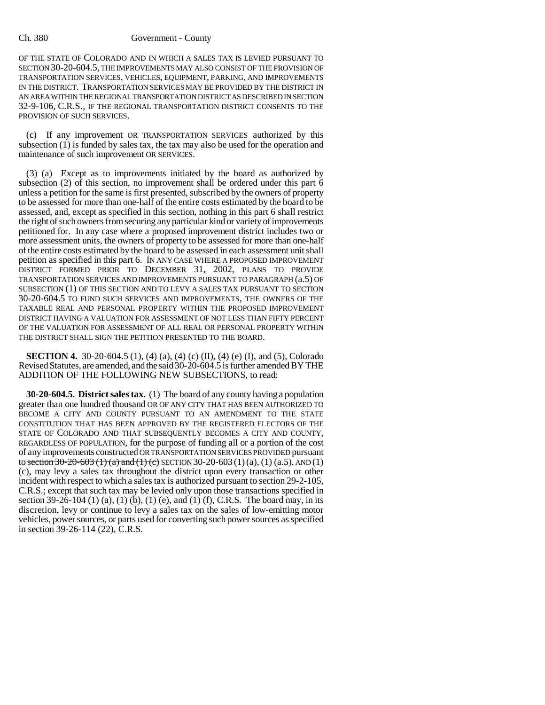## Ch. 380 Government - County

OF THE STATE OF COLORADO AND IN WHICH A SALES TAX IS LEVIED PURSUANT TO SECTION 30-20-604.5, THE IMPROVEMENTS MAY ALSO CONSIST OF THE PROVISION OF TRANSPORTATION SERVICES, VEHICLES, EQUIPMENT, PARKING, AND IMPROVEMENTS IN THE DISTRICT. TRANSPORTATION SERVICES MAY BE PROVIDED BY THE DISTRICT IN AN AREA WITHIN THE REGIONAL TRANSPORTATION DISTRICT AS DESCRIBED IN SECTION 32-9-106, C.R.S., IF THE REGIONAL TRANSPORTATION DISTRICT CONSENTS TO THE PROVISION OF SUCH SERVICES.

(c) If any improvement OR TRANSPORTATION SERVICES authorized by this subsection (1) is funded by sales tax, the tax may also be used for the operation and maintenance of such improvement OR SERVICES.

(3) (a) Except as to improvements initiated by the board as authorized by subsection (2) of this section, no improvement shall be ordered under this part 6 unless a petition for the same is first presented, subscribed by the owners of property to be assessed for more than one-half of the entire costs estimated by the board to be assessed, and, except as specified in this section, nothing in this part 6 shall restrict the right of such owners from securing any particular kind or variety of improvements petitioned for. In any case where a proposed improvement district includes two or more assessment units, the owners of property to be assessed for more than one-half of the entire costs estimated by the board to be assessed in each assessment unit shall petition as specified in this part 6. IN ANY CASE WHERE A PROPOSED IMPROVEMENT DISTRICT FORMED PRIOR TO DECEMBER 31, 2002, PLANS TO PROVIDE TRANSPORTATION SERVICES AND IMPROVEMENTS PURSUANT TO PARAGRAPH (a.5) OF SUBSECTION (1) OF THIS SECTION AND TO LEVY A SALES TAX PURSUANT TO SECTION 30-20-604.5 TO FUND SUCH SERVICES AND IMPROVEMENTS, THE OWNERS OF THE TAXABLE REAL AND PERSONAL PROPERTY WITHIN THE PROPOSED IMPROVEMENT DISTRICT HAVING A VALUATION FOR ASSESSMENT OF NOT LESS THAN FIFTY PERCENT OF THE VALUATION FOR ASSESSMENT OF ALL REAL OR PERSONAL PROPERTY WITHIN THE DISTRICT SHALL SIGN THE PETITION PRESENTED TO THE BOARD.

**SECTION 4.** 30-20-604.5 (1), (4) (a), (4) (c) (II), (4) (e) (I), and (5), Colorado Revised Statutes, are amended, and the said 30-20-604.5 is further amended BY THE ADDITION OF THE FOLLOWING NEW SUBSECTIONS, to read:

**30-20-604.5. District sales tax.** (1) The board of any county having a population greater than one hundred thousand OR OF ANY CITY THAT HAS BEEN AUTHORIZED TO BECOME A CITY AND COUNTY PURSUANT TO AN AMENDMENT TO THE STATE CONSTITUTION THAT HAS BEEN APPROVED BY THE REGISTERED ELECTORS OF THE STATE OF COLORADO AND THAT SUBSEQUENTLY BECOMES A CITY AND COUNTY, REGARDLESS OF POPULATION, for the purpose of funding all or a portion of the cost of any improvements constructed OR TRANSPORTATION SERVICES PROVIDED pursuant to section  $30-20-603$  (1) (a) and (1) (c) SECTION 30-20-603 (1) (a), (1) (a.5), AND (1) (c), may levy a sales tax throughout the district upon every transaction or other incident with respect to which a sales tax is authorized pursuant to section 29-2-105, C.R.S.; except that such tax may be levied only upon those transactions specified in section 39-26-104 (1) (a), (1) (b), (1) (e), and (1) (f), C.R.S. The board may, in its discretion, levy or continue to levy a sales tax on the sales of low-emitting motor vehicles, power sources, or parts used for converting such power sources as specified in section 39-26-114 (22), C.R.S.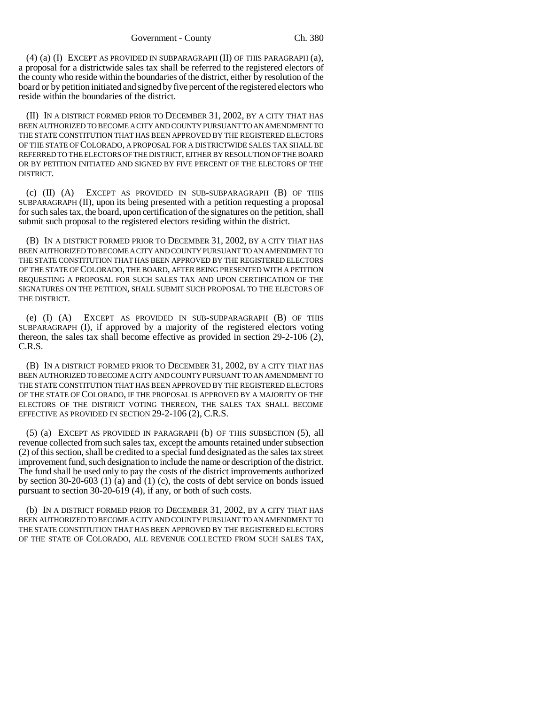(4) (a) (I) EXCEPT AS PROVIDED IN SUBPARAGRAPH (II) OF THIS PARAGRAPH (a), a proposal for a districtwide sales tax shall be referred to the registered electors of the county who reside within the boundaries of the district, either by resolution of the board or by petition initiated and signed by five percent of the registered electors who reside within the boundaries of the district.

(II) IN A DISTRICT FORMED PRIOR TO DECEMBER 31, 2002, BY A CITY THAT HAS BEEN AUTHORIZED TO BECOME A CITY AND COUNTY PURSUANT TO AN AMENDMENT TO THE STATE CONSTITUTION THAT HAS BEEN APPROVED BY THE REGISTERED ELECTORS OF THE STATE OF COLORADO, A PROPOSAL FOR A DISTRICTWIDE SALES TAX SHALL BE REFERRED TO THE ELECTORS OF THE DISTRICT, EITHER BY RESOLUTION OF THE BOARD OR BY PETITION INITIATED AND SIGNED BY FIVE PERCENT OF THE ELECTORS OF THE DISTRICT.

(c) (II) (A) EXCEPT AS PROVIDED IN SUB-SUBPARAGRAPH (B) OF THIS SUBPARAGRAPH (II), upon its being presented with a petition requesting a proposal for such sales tax, the board, upon certification of the signatures on the petition, shall submit such proposal to the registered electors residing within the district.

(B) IN A DISTRICT FORMED PRIOR TO DECEMBER 31, 2002, BY A CITY THAT HAS BEEN AUTHORIZED TO BECOME A CITY AND COUNTY PURSUANT TO AN AMENDMENT TO THE STATE CONSTITUTION THAT HAS BEEN APPROVED BY THE REGISTERED ELECTORS OF THE STATE OF COLORADO, THE BOARD, AFTER BEING PRESENTED WITH A PETITION REQUESTING A PROPOSAL FOR SUCH SALES TAX AND UPON CERTIFICATION OF THE SIGNATURES ON THE PETITION, SHALL SUBMIT SUCH PROPOSAL TO THE ELECTORS OF THE DISTRICT.

(e) (I) (A) EXCEPT AS PROVIDED IN SUB-SUBPARAGRAPH (B) OF THIS SUBPARAGRAPH (I), if approved by a majority of the registered electors voting thereon, the sales tax shall become effective as provided in section 29-2-106 (2), C.R.S.

(B) IN A DISTRICT FORMED PRIOR TO DECEMBER 31, 2002, BY A CITY THAT HAS BEEN AUTHORIZED TO BECOME A CITY AND COUNTY PURSUANT TO AN AMENDMENT TO THE STATE CONSTITUTION THAT HAS BEEN APPROVED BY THE REGISTERED ELECTORS OF THE STATE OF COLORADO, IF THE PROPOSAL IS APPROVED BY A MAJORITY OF THE ELECTORS OF THE DISTRICT VOTING THEREON, THE SALES TAX SHALL BECOME EFFECTIVE AS PROVIDED IN SECTION 29-2-106 (2), C.R.S.

(5) (a) EXCEPT AS PROVIDED IN PARAGRAPH (b) OF THIS SUBSECTION (5), all revenue collected from such sales tax, except the amounts retained under subsection (2) of this section, shall be credited to a special fund designated as the sales tax street improvement fund, such designation to include the name or description of the district. The fund shall be used only to pay the costs of the district improvements authorized by section 30-20-603 (1) (a) and (1) (c), the costs of debt service on bonds issued pursuant to section 30-20-619 (4), if any, or both of such costs.

(b) IN A DISTRICT FORMED PRIOR TO DECEMBER 31, 2002, BY A CITY THAT HAS BEEN AUTHORIZED TO BECOME A CITY AND COUNTY PURSUANT TO AN AMENDMENT TO THE STATE CONSTITUTION THAT HAS BEEN APPROVED BY THE REGISTERED ELECTORS OF THE STATE OF COLORADO, ALL REVENUE COLLECTED FROM SUCH SALES TAX,